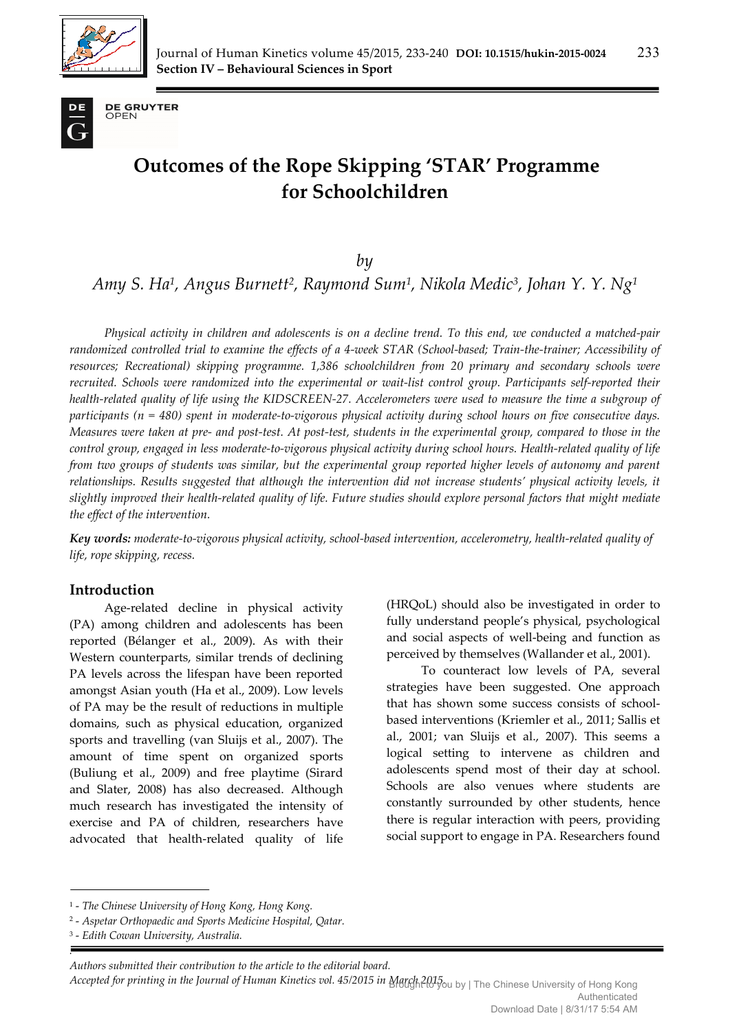



**DE GRUYTER**<br>OPEN

# **Outcomes of the Rope Skipping 'STAR' Programme for Schoolchildren**

*by* 

*Amy S. Ha1, Angus Burnett2, Raymond Sum1, Nikola Medic3, Johan Y. Y. Ng1*

*Physical activity in children and adolescents is on a decline trend. To this end, we conducted a matched-pair randomized controlled trial to examine the effects of a 4-week STAR (School-based; Train-the-trainer; Accessibility of resources; Recreational) skipping programme. 1,386 schoolchildren from 20 primary and secondary schools were recruited. Schools were randomized into the experimental or wait-list control group. Participants self-reported their health-related quality of life using the KIDSCREEN-27. Accelerometers were used to measure the time a subgroup of participants (n = 480) spent in moderate-to-vigorous physical activity during school hours on five consecutive days. Measures were taken at pre- and post-test. At post-test, students in the experimental group, compared to those in the control group, engaged in less moderate-to-vigorous physical activity during school hours. Health-related quality of life from two groups of students was similar, but the experimental group reported higher levels of autonomy and parent relationships. Results suggested that although the intervention did not increase students' physical activity levels, it slightly improved their health-related quality of life. Future studies should explore personal factors that might mediate the effect of the intervention.* 

*Key words: moderate-to-vigorous physical activity, school-based intervention, accelerometry, health-related quality of life, rope skipping, recess.*

#### **Introduction**

Age-related decline in physical activity (PA) among children and adolescents has been reported (Bélanger et al., 2009). As with their Western counterparts, similar trends of declining PA levels across the lifespan have been reported amongst Asian youth (Ha et al., 2009). Low levels of PA may be the result of reductions in multiple domains, such as physical education, organized sports and travelling (van Sluijs et al., 2007). The amount of time spent on organized sports (Buliung et al., 2009) and free playtime (Sirard and Slater, 2008) has also decreased. Although much research has investigated the intensity of exercise and PA of children, researchers have advocated that health-related quality of life

(HRQoL) should also be investigated in order to fully understand people's physical, psychological and social aspects of well-being and function as perceived by themselves (Wallander et al., 2001).

To counteract low levels of PA, several strategies have been suggested. One approach that has shown some success consists of schoolbased interventions (Kriemler et al., 2011; Sallis et al., 2001; van Sluijs et al., 2007). This seems a logical setting to intervene as children and adolescents spend most of their day at school. Schools are also venues where students are constantly surrounded by other students, hence there is regular interaction with peers, providing social support to engage in PA. Researchers found

*.* 

*Authors submitted their contribution to the article to the editorial board.* 

Accepted for printing in the Journal of Human Kinetics vol. 45/2015 in <u>Manch 2015</u> ou by | The Chinese University of Hong Kong Authenticated Download Date | 8/31/17 5:54 AM

<sup>1 -</sup> *The Chinese University of Hong Kong, Hong Kong.*

<sup>2 -</sup> *Aspetar Orthopaedic and Sports Medicine Hospital, Qatar.* 

<sup>3 -</sup> *Edith Cowan University, Australia.*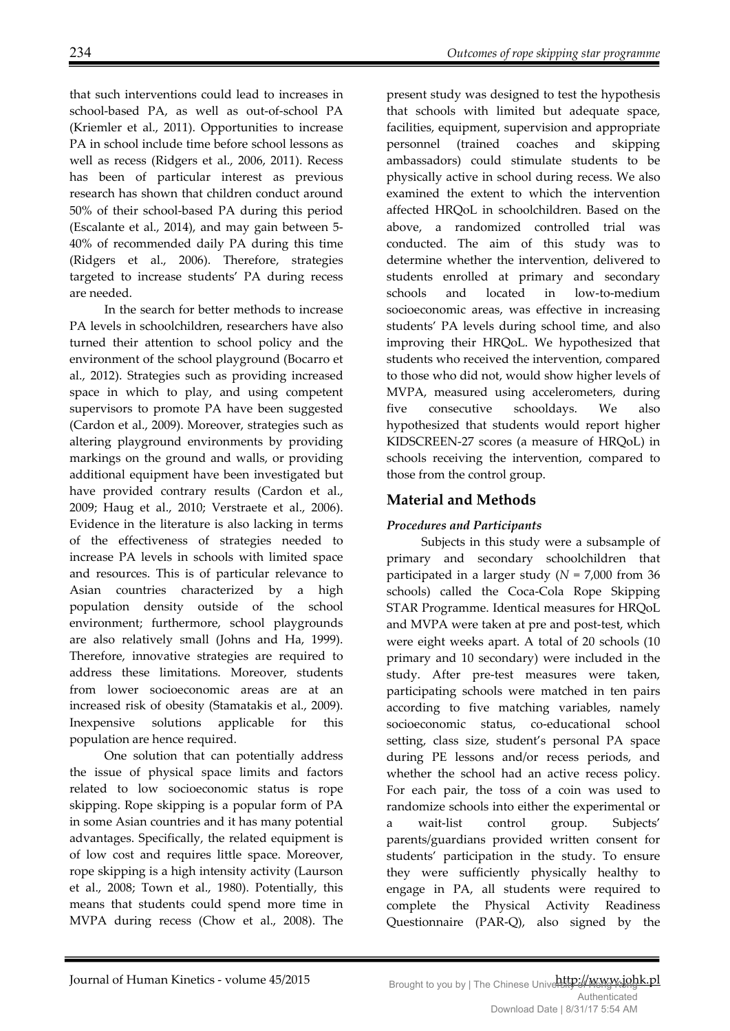that such interventions could lead to increases in school-based PA, as well as out-of-school PA (Kriemler et al., 2011). Opportunities to increase PA in school include time before school lessons as well as recess (Ridgers et al., 2006, 2011). Recess has been of particular interest as previous research has shown that children conduct around 50% of their school-based PA during this period (Escalante et al., 2014), and may gain between 5- 40% of recommended daily PA during this time (Ridgers et al., 2006). Therefore, strategies targeted to increase students' PA during recess are needed.

In the search for better methods to increase PA levels in schoolchildren, researchers have also turned their attention to school policy and the environment of the school playground (Bocarro et al., 2012). Strategies such as providing increased space in which to play, and using competent supervisors to promote PA have been suggested (Cardon et al., 2009). Moreover, strategies such as altering playground environments by providing markings on the ground and walls, or providing additional equipment have been investigated but have provided contrary results (Cardon et al., 2009; Haug et al., 2010; Verstraete et al., 2006). Evidence in the literature is also lacking in terms of the effectiveness of strategies needed to increase PA levels in schools with limited space and resources. This is of particular relevance to Asian countries characterized by a high population density outside of the school environment; furthermore, school playgrounds are also relatively small (Johns and Ha, 1999). Therefore, innovative strategies are required to address these limitations. Moreover, students from lower socioeconomic areas are at an increased risk of obesity (Stamatakis et al., 2009). Inexpensive solutions applicable for this population are hence required.

One solution that can potentially address the issue of physical space limits and factors related to low socioeconomic status is rope skipping. Rope skipping is a popular form of PA in some Asian countries and it has many potential advantages. Specifically, the related equipment is of low cost and requires little space. Moreover, rope skipping is a high intensity activity (Laurson et al., 2008; Town et al., 1980). Potentially, this means that students could spend more time in MVPA during recess (Chow et al., 2008). The

present study was designed to test the hypothesis that schools with limited but adequate space, facilities, equipment, supervision and appropriate personnel (trained coaches and skipping ambassadors) could stimulate students to be physically active in school during recess. We also examined the extent to which the intervention affected HRQoL in schoolchildren. Based on the above, a randomized controlled trial was conducted. The aim of this study was to determine whether the intervention, delivered to students enrolled at primary and secondary schools and located in low-to-medium socioeconomic areas, was effective in increasing students' PA levels during school time, and also improving their HRQoL. We hypothesized that students who received the intervention, compared to those who did not, would show higher levels of MVPA, measured using accelerometers, during five consecutive schooldays. We also hypothesized that students would report higher KIDSCREEN-27 scores (a measure of HRQoL) in schools receiving the intervention, compared to those from the control group.

# **Material and Methods**

#### *Procedures and Participants*

Subjects in this study were a subsample of primary and secondary schoolchildren that participated in a larger study  $(N = 7,000$  from 36 schools) called the Coca-Cola Rope Skipping STAR Programme. Identical measures for HRQoL and MVPA were taken at pre and post-test, which were eight weeks apart. A total of 20 schools (10 primary and 10 secondary) were included in the study. After pre-test measures were taken, participating schools were matched in ten pairs according to five matching variables, namely socioeconomic status, co-educational school setting, class size, student's personal PA space during PE lessons and/or recess periods, and whether the school had an active recess policy. For each pair, the toss of a coin was used to randomize schools into either the experimental or a wait-list control group. Subjects' parents/guardians provided written consent for students' participation in the study. To ensure they were sufficiently physically healthy to engage in PA, all students were required to complete the Physical Activity Readiness Questionnaire (PAR-Q), also signed by the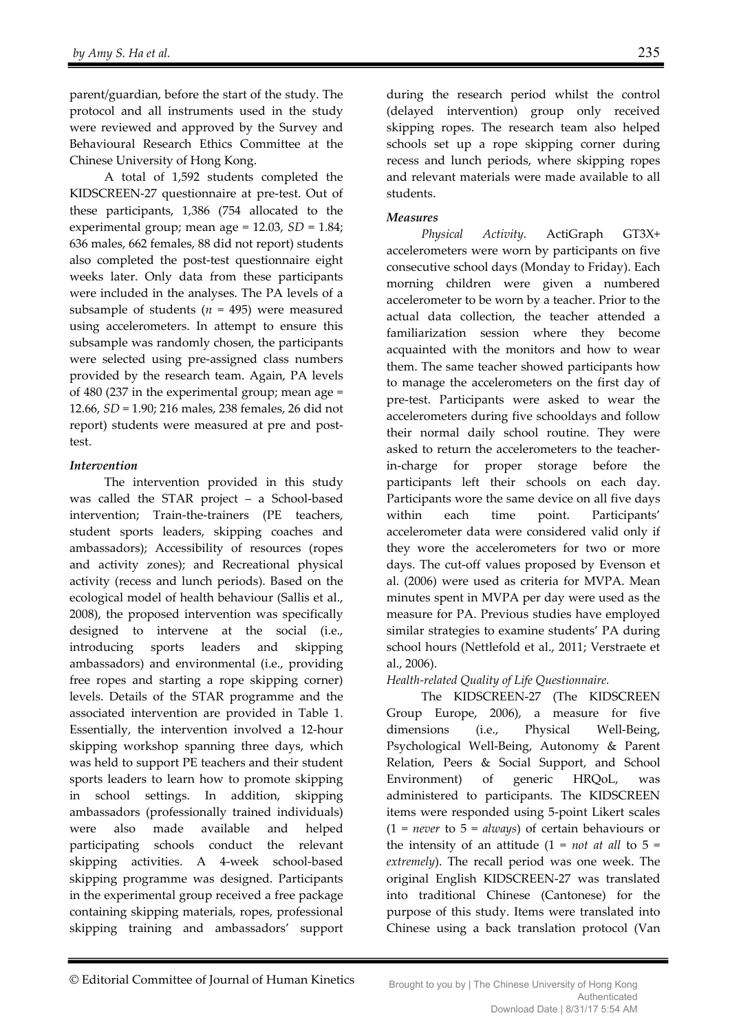parent/guardian, before the start of the study. The protocol and all instruments used in the study were reviewed and approved by the Survey and Behavioural Research Ethics Committee at the Chinese University of Hong Kong.

A total of 1,592 students completed the KIDSCREEN-27 questionnaire at pre-test. Out of these participants, 1,386 (754 allocated to the experimental group; mean age = 12.03, *SD* = 1.84; 636 males, 662 females, 88 did not report) students also completed the post-test questionnaire eight weeks later. Only data from these participants were included in the analyses. The PA levels of a subsample of students ( $n = 495$ ) were measured using accelerometers. In attempt to ensure this subsample was randomly chosen, the participants were selected using pre-assigned class numbers provided by the research team. Again, PA levels of 480 (237 in the experimental group; mean age = 12.66, *SD* = 1.90; 216 males, 238 females, 26 did not report) students were measured at pre and posttest.

## *Intervention*

The intervention provided in this study was called the STAR project – a School-based intervention; Train-the-trainers (PE teachers, student sports leaders, skipping coaches and ambassadors); Accessibility of resources (ropes and activity zones); and Recreational physical activity (recess and lunch periods). Based on the ecological model of health behaviour (Sallis et al., 2008), the proposed intervention was specifically designed to intervene at the social (i.e., introducing sports leaders and skipping ambassadors) and environmental (i.e., providing free ropes and starting a rope skipping corner) levels. Details of the STAR programme and the associated intervention are provided in Table 1. Essentially, the intervention involved a 12-hour skipping workshop spanning three days, which was held to support PE teachers and their student sports leaders to learn how to promote skipping in school settings. In addition, skipping ambassadors (professionally trained individuals) were also made available and helped participating schools conduct the relevant skipping activities. A 4-week school-based skipping programme was designed. Participants in the experimental group received a free package containing skipping materials, ropes, professional skipping training and ambassadors' support during the research period whilst the control (delayed intervention) group only received skipping ropes. The research team also helped schools set up a rope skipping corner during recess and lunch periods, where skipping ropes and relevant materials were made available to all students.

#### *Measures*

*Physical Activity.* ActiGraph GT3X+ accelerometers were worn by participants on five consecutive school days (Monday to Friday). Each morning children were given a numbered accelerometer to be worn by a teacher. Prior to the actual data collection, the teacher attended a familiarization session where they become acquainted with the monitors and how to wear them. The same teacher showed participants how to manage the accelerometers on the first day of pre-test. Participants were asked to wear the accelerometers during five schooldays and follow their normal daily school routine. They were asked to return the accelerometers to the teacherin-charge for proper storage before the participants left their schools on each day. Participants wore the same device on all five days within each time point. Participants' accelerometer data were considered valid only if they wore the accelerometers for two or more days. The cut-off values proposed by Evenson et al. (2006) were used as criteria for MVPA. Mean minutes spent in MVPA per day were used as the measure for PA. Previous studies have employed similar strategies to examine students' PA during school hours (Nettlefold et al., 2011; Verstraete et al., 2006).

#### *Health-related Quality of Life Questionnaire.*

The KIDSCREEN-27 (The KIDSCREEN Group Europe, 2006), a measure for five dimensions (i.e., Physical Well-Being, Psychological Well-Being, Autonomy & Parent Relation, Peers & Social Support, and School Environment) of generic HRQoL, was administered to participants. The KIDSCREEN items were responded using 5-point Likert scales (1 = *never* to 5 = *always*) of certain behaviours or the intensity of an attitude  $(1 = not at all to 5 =$ *extremely*). The recall period was one week. The original English KIDSCREEN-27 was translated into traditional Chinese (Cantonese) for the purpose of this study. Items were translated into Chinese using a back translation protocol (Van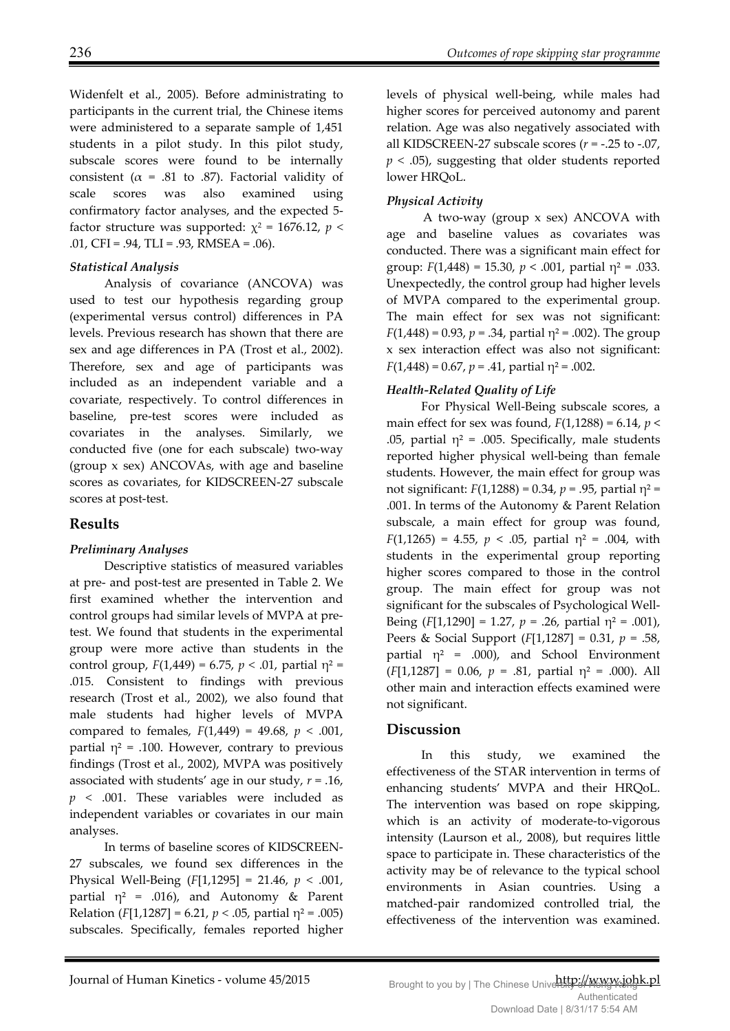Widenfelt et al., 2005). Before administrating to participants in the current trial, the Chinese items were administered to a separate sample of 1,451 students in a pilot study. In this pilot study, subscale scores were found to be internally consistent ( $\alpha$  = .81 to .87). Factorial validity of scale scores was also examined using confirmatory factor analyses, and the expected 5 factor structure was supported:  $\chi^2$  = 1676.12, *p* < .01, CFI = .94, TLI = .93, RMSEA = .06).

## *Statistical Analysis*

Analysis of covariance (ANCOVA) was used to test our hypothesis regarding group (experimental versus control) differences in PA levels. Previous research has shown that there are sex and age differences in PA (Trost et al., 2002). Therefore, sex and age of participants was included as an independent variable and a covariate, respectively. To control differences in baseline, pre-test scores were included as covariates in the analyses. Similarly, we conducted five (one for each subscale) two-way (group x sex) ANCOVAs, with age and baseline scores as covariates, for KIDSCREEN-27 subscale scores at post-test.

# **Results**

# *Preliminary Analyses*

Descriptive statistics of measured variables at pre- and post-test are presented in Table 2. We first examined whether the intervention and control groups had similar levels of MVPA at pretest. We found that students in the experimental group were more active than students in the control group,  $F(1,449) = 6.75$ ,  $p < .01$ , partial  $\eta^2 =$ .015. Consistent to findings with previous research (Trost et al., 2002), we also found that male students had higher levels of MVPA compared to females, *F*(1,449) = 49.68, *p <* .001, partial  $\eta^2$  = .100. However, contrary to previous findings (Trost et al., 2002), MVPA was positively associated with students' age in our study, *r* = .16, *p <* .001. These variables were included as independent variables or covariates in our main analyses.

In terms of baseline scores of KIDSCREEN-27 subscales, we found sex differences in the Physical Well-Being (*F*[1,1295] = 21.46, *p <* .001, partial  $\eta^2$  = .016), and Autonomy & Parent Relation (*F*[1,1287] = 6.21,  $p < .05$ , partial  $\eta^2 = .005$ ) subscales. Specifically, females reported higher levels of physical well-being, while males had higher scores for perceived autonomy and parent relation. Age was also negatively associated with all KIDSCREEN-27 subscale scores (*r* = -.25 to -.07, *p <* .05), suggesting that older students reported lower HRQoL.

## *Physical Activity*

A two-way (group x sex) ANCOVA with age and baseline values as covariates was conducted. There was a significant main effect for group:  $F(1,448) = 15.30, p < .001$ , partial  $\eta^2 = .033$ . Unexpectedly, the control group had higher levels of MVPA compared to the experimental group. The main effect for sex was not significant: *F*(1,448) = 0.93,  $p = 0.34$ , partial  $\eta^2 = 0.002$ ). The group x sex interaction effect was also not significant:  $F(1,448) = 0.67$ ,  $p = .41$ , partial  $\eta^2 = .002$ .

## *Health-Related Quality of Life*

For Physical Well-Being subscale scores, a main effect for sex was found,  $F(1,1288) = 6.14$ ,  $p <$ .05, partial  $\eta^2$  = .005. Specifically, male students reported higher physical well-being than female students. However, the main effect for group was not significant: *F*(1,1288) = 0.34, *p* = .95, partial η² = .001. In terms of the Autonomy & Parent Relation subscale, a main effect for group was found,  $F(1,1265) = 4.55$ ,  $p < .05$ , partial  $\eta^2 = .004$ , with students in the experimental group reporting higher scores compared to those in the control group. The main effect for group was not significant for the subscales of Psychological Well-Being  $(F[1,1290] = 1.27$ ,  $p = .26$ , partial  $\eta^2 = .001$ ), Peers & Social Support (*F*[1,1287] = 0.31, *p* = .58, partial  $\eta^2$  = .000), and School Environment  $(F[1,1287] = 0.06, p = .81,$  partial  $\eta^2 = .000$ ). All other main and interaction effects examined were not significant.

# **Discussion**

In this study, we examined the effectiveness of the STAR intervention in terms of enhancing students' MVPA and their HRQoL. The intervention was based on rope skipping, which is an activity of moderate-to-vigorous intensity (Laurson et al., 2008), but requires little space to participate in. These characteristics of the activity may be of relevance to the typical school environments in Asian countries. Using a matched-pair randomized controlled trial, the effectiveness of the intervention was examined.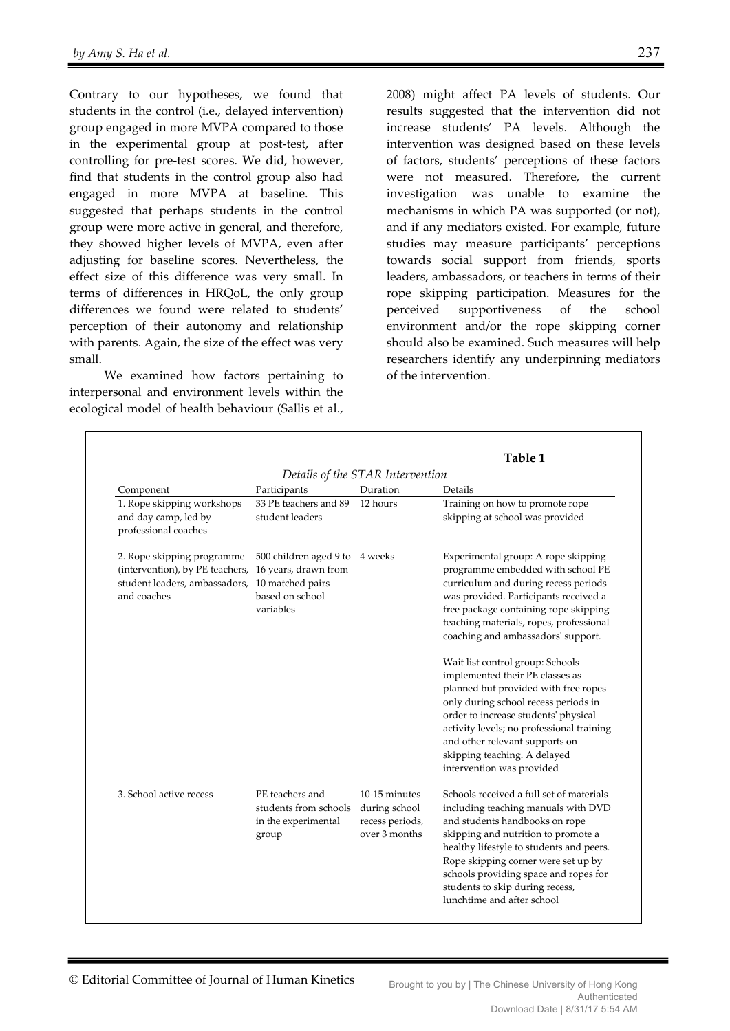Contrary to our hypotheses, we found that students in the control (i.e., delayed intervention) group engaged in more MVPA compared to those in the experimental group at post-test, after controlling for pre-test scores. We did, however, find that students in the control group also had engaged in more MVPA at baseline. This suggested that perhaps students in the control group were more active in general, and therefore, they showed higher levels of MVPA, even after adjusting for baseline scores. Nevertheless, the effect size of this difference was very small. In terms of differences in HRQoL, the only group differences we found were related to students' perception of their autonomy and relationship with parents. Again, the size of the effect was very small.

We examined how factors pertaining to interpersonal and environment levels within the ecological model of health behaviour (Sallis et al.,

2008) might affect PA levels of students. Our results suggested that the intervention did not increase students' PA levels. Although the intervention was designed based on these levels of factors, students' perceptions of these factors were not measured. Therefore, the current investigation was unable to examine the mechanisms in which PA was supported (or not), and if any mediators existed. For example, future studies may measure participants' perceptions towards social support from friends, sports leaders, ambassadors, or teachers in terms of their rope skipping participation. Measures for the perceived supportiveness of the school environment and/or the rope skipping corner should also be examined. Such measures will help researchers identify any underpinning mediators of the intervention.

|                                                                                                               |                                                                                                            |                                                                    | Table 1                                                                                                                                                                                                                                                                                                                                               |  |  |  |
|---------------------------------------------------------------------------------------------------------------|------------------------------------------------------------------------------------------------------------|--------------------------------------------------------------------|-------------------------------------------------------------------------------------------------------------------------------------------------------------------------------------------------------------------------------------------------------------------------------------------------------------------------------------------------------|--|--|--|
| Details of the STAR Intervention                                                                              |                                                                                                            |                                                                    |                                                                                                                                                                                                                                                                                                                                                       |  |  |  |
| Component                                                                                                     | Participants                                                                                               | Duration                                                           | Details                                                                                                                                                                                                                                                                                                                                               |  |  |  |
| 1. Rope skipping workshops<br>and day camp, led by<br>professional coaches                                    | 33 PE teachers and 89<br>student leaders                                                                   | 12 hours                                                           | Training on how to promote rope<br>skipping at school was provided                                                                                                                                                                                                                                                                                    |  |  |  |
| 2. Rope skipping programme<br>(intervention), by PE teachers,<br>student leaders, ambassadors,<br>and coaches | 500 children aged 9 to 4 weeks<br>16 years, drawn from<br>10 matched pairs<br>based on school<br>variables |                                                                    | Experimental group: A rope skipping<br>programme embedded with school PE<br>curriculum and during recess periods<br>was provided. Participants received a<br>free package containing rope skipping<br>teaching materials, ropes, professional<br>coaching and ambassadors' support.                                                                   |  |  |  |
|                                                                                                               |                                                                                                            |                                                                    | Wait list control group: Schools<br>implemented their PE classes as<br>planned but provided with free ropes<br>only during school recess periods in<br>order to increase students' physical<br>activity levels; no professional training<br>and other relevant supports on<br>skipping teaching. A delayed<br>intervention was provided               |  |  |  |
| 3. School active recess                                                                                       | PE teachers and<br>students from schools<br>in the experimental<br>group                                   | 10-15 minutes<br>during school<br>recess periods,<br>over 3 months | Schools received a full set of materials<br>including teaching manuals with DVD<br>and students handbooks on rope<br>skipping and nutrition to promote a<br>healthy lifestyle to students and peers.<br>Rope skipping corner were set up by<br>schools providing space and ropes for<br>students to skip during recess,<br>lunchtime and after school |  |  |  |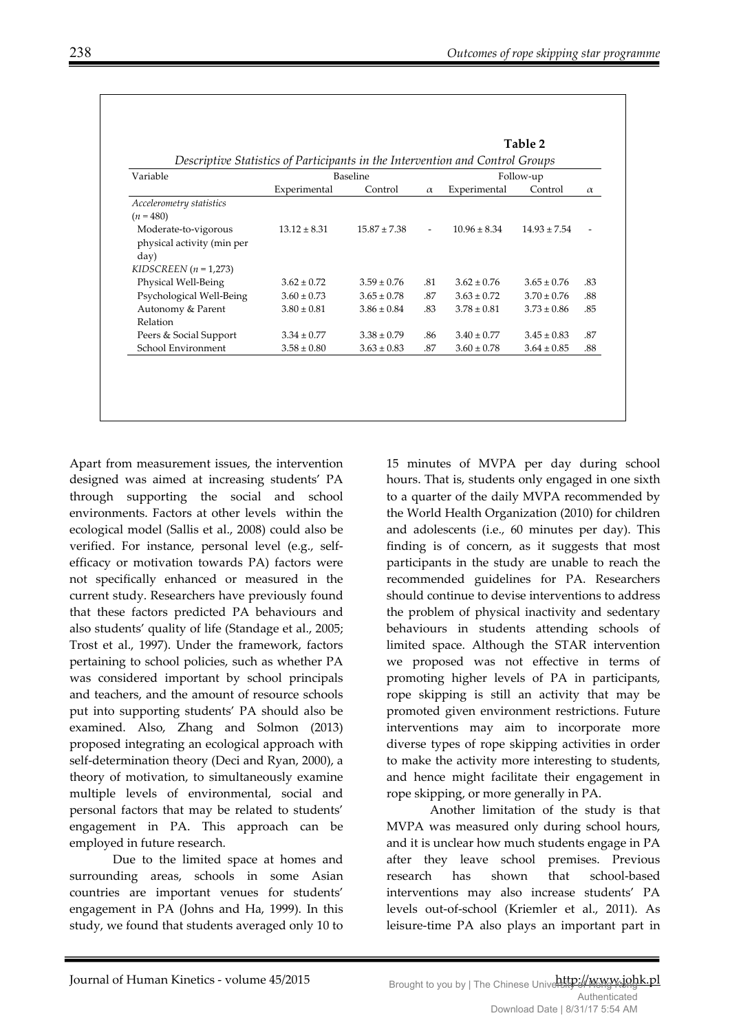| Variable                   | Descriptive Statistics of Participants in the Intervention and Control Groups<br><b>Baseline</b> |                  | Follow-up                |                  |                  |                          |  |
|----------------------------|--------------------------------------------------------------------------------------------------|------------------|--------------------------|------------------|------------------|--------------------------|--|
|                            | Experimental                                                                                     | Control          | $\alpha$                 | Experimental     | Control          | $\alpha$                 |  |
| Accelerometry statistics   |                                                                                                  |                  |                          |                  |                  |                          |  |
| $(n = 480)$                |                                                                                                  |                  |                          |                  |                  |                          |  |
| Moderate-to-vigorous       | $13.12 \pm 8.31$                                                                                 | $15.87 \pm 7.38$ | $\overline{\phantom{a}}$ | $10.96 \pm 8.34$ | $14.93 \pm 7.54$ | $\overline{\phantom{a}}$ |  |
| physical activity (min per |                                                                                                  |                  |                          |                  |                  |                          |  |
| day)                       |                                                                                                  |                  |                          |                  |                  |                          |  |
| KIDSCREEN $(n = 1,273)$    |                                                                                                  |                  |                          |                  |                  |                          |  |
| Physical Well-Being        | $3.62 \pm 0.72$                                                                                  | $3.59 \pm 0.76$  | 81                       | $362 + 076$      | $3.65 \pm 0.76$  | .83                      |  |
| Psychological Well-Being   | $3.60 \pm 0.73$                                                                                  | $3.65 \pm 0.78$  | .87                      | $3.63 \pm 0.72$  | $3.70 \pm 0.76$  | .88                      |  |
| Autonomy & Parent          | $3.80 \pm 0.81$                                                                                  | $3.86 \pm 0.84$  | .83                      | $3.78 \pm 0.81$  | $3.73 \pm 0.86$  | .85                      |  |
| Relation                   |                                                                                                  |                  |                          |                  |                  |                          |  |
| Peers & Social Support     | $3.34 \pm 0.77$                                                                                  | $3.38 \pm 0.79$  | .86                      | $3.40 \pm 0.77$  | $3.45 \pm 0.83$  | .87                      |  |
| School Environment         | $3.58 \pm 0.80$                                                                                  | $3.63 \pm 0.83$  | .87                      | $3.60 \pm 0.78$  | $3.64 \pm 0.85$  | .88                      |  |

Apart from measurement issues, the intervention designed was aimed at increasing students' PA through supporting the social and school environments. Factors at other levels within the ecological model (Sallis et al., 2008) could also be verified. For instance, personal level (e.g., selfefficacy or motivation towards PA) factors were not specifically enhanced or measured in the current study. Researchers have previously found that these factors predicted PA behaviours and also students' quality of life (Standage et al., 2005; Trost et al., 1997). Under the framework, factors pertaining to school policies, such as whether PA was considered important by school principals and teachers, and the amount of resource schools put into supporting students' PA should also be examined. Also, Zhang and Solmon (2013) proposed integrating an ecological approach with self-determination theory (Deci and Ryan, 2000), a theory of motivation, to simultaneously examine multiple levels of environmental, social and personal factors that may be related to students' engagement in PA. This approach can be employed in future research.

Due to the limited space at homes and surrounding areas, schools in some Asian countries are important venues for students' engagement in PA (Johns and Ha, 1999). In this study, we found that students averaged only 10 to 15 minutes of MVPA per day during school hours. That is, students only engaged in one sixth to a quarter of the daily MVPA recommended by the World Health Organization (2010) for children and adolescents (i.e., 60 minutes per day). This finding is of concern, as it suggests that most participants in the study are unable to reach the recommended guidelines for PA. Researchers should continue to devise interventions to address the problem of physical inactivity and sedentary behaviours in students attending schools of limited space. Although the STAR intervention we proposed was not effective in terms of promoting higher levels of PA in participants, rope skipping is still an activity that may be promoted given environment restrictions. Future interventions may aim to incorporate more diverse types of rope skipping activities in order to make the activity more interesting to students, and hence might facilitate their engagement in rope skipping, or more generally in PA.

Another limitation of the study is that MVPA was measured only during school hours, and it is unclear how much students engage in PA after they leave school premises. Previous research has shown that school-based interventions may also increase students' PA levels out-of-school (Kriemler et al., 2011). As leisure-time PA also plays an important part in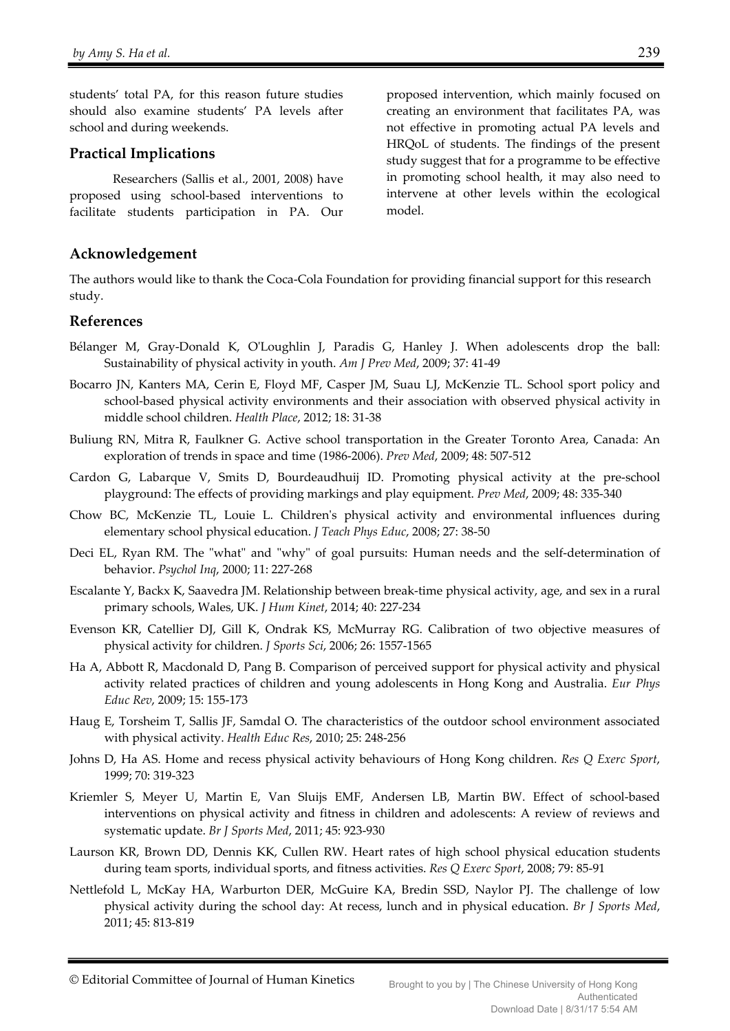students' total PA, for this reason future studies should also examine students' PA levels after school and during weekends.

#### **Practical Implications**

Researchers (Sallis et al., 2001, 2008) have proposed using school-based interventions to facilitate students participation in PA. Our

#### **Acknowledgement**

proposed intervention, which mainly focused on creating an environment that facilitates PA, was not effective in promoting actual PA levels and HRQoL of students. The findings of the present study suggest that for a programme to be effective in promoting school health, it may also need to intervene at other levels within the ecological model.

The authors would like to thank the Coca-Cola Foundation for providing financial support for this research study.

#### **References**

- Bélanger M, Gray-Donald K, O'Loughlin J, Paradis G, Hanley J. When adolescents drop the ball: Sustainability of physical activity in youth. *Am J Prev Med*, 2009; 37: 41-49
- Bocarro JN, Kanters MA, Cerin E, Floyd MF, Casper JM, Suau LJ, McKenzie TL. School sport policy and school-based physical activity environments and their association with observed physical activity in middle school children. *Health Place*, 2012; 18: 31-38
- Buliung RN, Mitra R, Faulkner G. Active school transportation in the Greater Toronto Area, Canada: An exploration of trends in space and time (1986-2006). *Prev Med*, 2009; 48: 507-512
- Cardon G, Labarque V, Smits D, Bourdeaudhuij ID. Promoting physical activity at the pre-school playground: The effects of providing markings and play equipment. *Prev Med*, 2009; 48: 335-340
- Chow BC, McKenzie TL, Louie L. Children's physical activity and environmental influences during elementary school physical education. *J Teach Phys Educ*, 2008; 27: 38-50
- Deci EL, Ryan RM. The "what" and "why" of goal pursuits: Human needs and the self-determination of behavior. *Psychol Inq*, 2000; 11: 227-268
- Escalante Y, Backx K, Saavedra JM. Relationship between break-time physical activity, age, and sex in a rural primary schools, Wales, UK. *J Hum Kinet*, 2014; 40: 227-234
- Evenson KR, Catellier DJ, Gill K, Ondrak KS, McMurray RG. Calibration of two objective measures of physical activity for children. *J Sports Sci*, 2006; 26: 1557-1565
- Ha A, Abbott R, Macdonald D, Pang B. Comparison of perceived support for physical activity and physical activity related practices of children and young adolescents in Hong Kong and Australia. *Eur Phys Educ Rev*, 2009; 15: 155-173
- Haug E, Torsheim T, Sallis JF, Samdal O. The characteristics of the outdoor school environment associated with physical activity. *Health Educ Res*, 2010; 25: 248-256
- Johns D, Ha AS. Home and recess physical activity behaviours of Hong Kong children. *Res Q Exerc Sport*, 1999; 70: 319-323
- Kriemler S, Meyer U, Martin E, Van Sluijs EMF, Andersen LB, Martin BW. Effect of school-based interventions on physical activity and fitness in children and adolescents: A review of reviews and systematic update. *Br J Sports Med*, 2011; 45: 923-930
- Laurson KR, Brown DD, Dennis KK, Cullen RW. Heart rates of high school physical education students during team sports, individual sports, and fitness activities. *Res Q Exerc Sport*, 2008; 79: 85-91
- Nettlefold L, McKay HA, Warburton DER, McGuire KA, Bredin SSD, Naylor PJ. The challenge of low physical activity during the school day: At recess, lunch and in physical education. *Br J Sports Med*, 2011; 45: 813-819